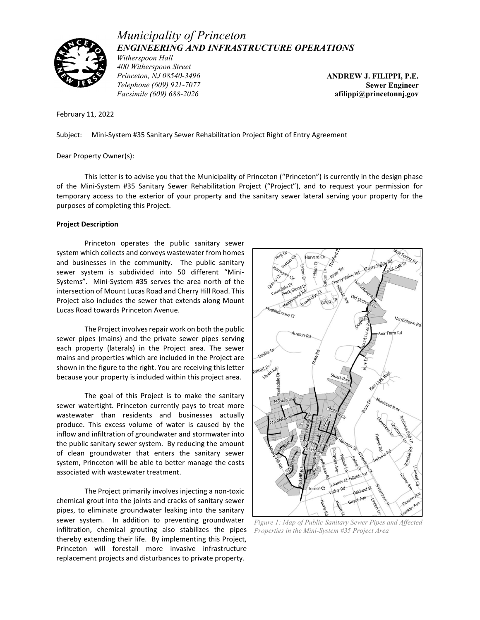## Municipality of Princeton ENGINEERING AND INFRASTRUCTURE OPERATIONS



Witherspoon Hall 400 Witherspoon Street Princeton, NJ 08540-3496 Telephone (609) 921-7077 Facsimile (609) 688-2026

ANDREW J. FILIPPI, P.E. Sewer Engineer afilippi@princetonnj.gov

February 11, 2022

Subject: Mini-System #35 Sanitary Sewer Rehabilitation Project Right of Entry Agreement

Dear Property Owner(s):

This letter is to advise you that the Municipality of Princeton ("Princeton") is currently in the design phase of the Mini-System #35 Sanitary Sewer Rehabilitation Project ("Project"), and to request your permission for temporary access to the exterior of your property and the sanitary sewer lateral serving your property for the purposes of completing this Project.

## Project Description

Princeton operates the public sanitary sewer system which collects and conveys wastewater from homes and businesses in the community. The public sanitary sewer system is subdivided into 50 different "Mini-Systems". Mini-System #35 serves the area north of the intersection of Mount Lucas Road and Cherry Hill Road. This Project also includes the sewer that extends along Mount Lucas Road towards Princeton Avenue.

The Project involves repair work on both the public sewer pipes (mains) and the private sewer pipes serving each property (laterals) in the Project area. The sewer mains and properties which are included in the Project are shown in the figure to the right. You are receiving this letter because your property is included within this project area.

The goal of this Project is to make the sanitary sewer watertight. Princeton currently pays to treat more wastewater than residents and businesses actually produce. This excess volume of water is caused by the inflow and infiltration of groundwater and stormwater into the public sanitary sewer system. By reducing the amount of clean groundwater that enters the sanitary sewer system, Princeton will be able to better manage the costs associated with wastewater treatment.

The Project primarily involves injecting a non-toxic chemical grout into the joints and cracks of sanitary sewer pipes, to eliminate groundwater leaking into the sanitary sewer system. In addition to preventing groundwater infiltration, chemical grouting also stabilizes the pipes thereby extending their life. By implementing this Project, Princeton will forestall more invasive infrastructure replacement projects and disturbances to private property.



Figure 1: Map of Public Sanitary Sewer Pipes and Affected Properties in the Mini-System #35 Project Area